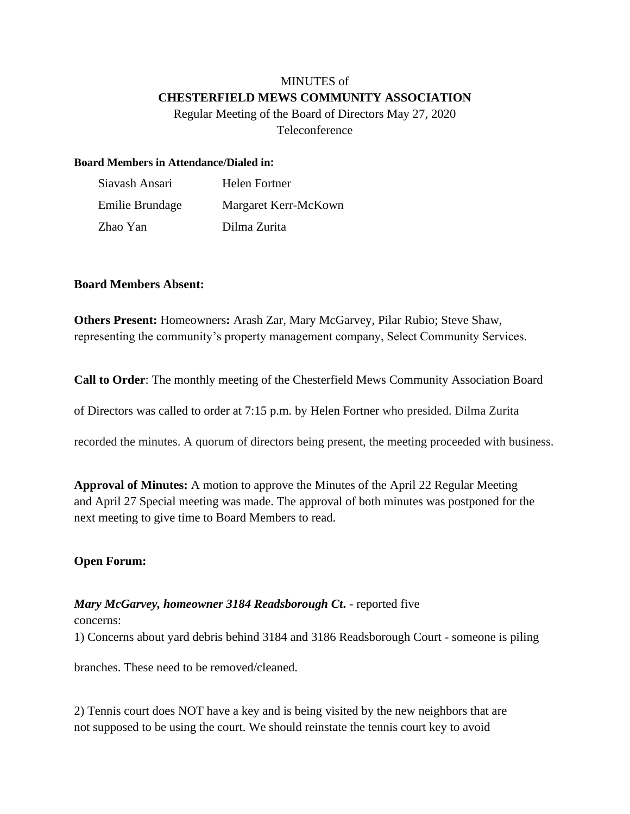# MINUTES of **CHESTERFIELD MEWS COMMUNITY ASSOCIATION**

Regular Meeting of the Board of Directors May 27, 2020 Teleconference

### **Board Members in Attendance/Dialed in:**

| Siavash Ansari  | Helen Fortner        |
|-----------------|----------------------|
| Emilie Brundage | Margaret Kerr-McKown |
| Zhao Yan        | Dilma Zurita         |

### **Board Members Absent:**

**Others Present:** Homeowners**:** Arash Zar, Mary McGarvey, Pilar Rubio; Steve Shaw, representing the community's property management company, Select Community Services.

**Call to Order**: The monthly meeting of the Chesterfield Mews Community Association Board

of Directors was called to order at 7:15 p.m. by Helen Fortner who presided. Dilma Zurita

recorded the minutes. A quorum of directors being present, the meeting proceeded with business.

**Approval of Minutes:** A motion to approve the Minutes of the April 22 Regular Meeting and April 27 Special meeting was made. The approval of both minutes was postponed for the next meeting to give time to Board Members to read.

### **Open Forum:**

## *Mary McGarvey, homeowner 3184 Readsborough Ct***.** - reported five

concerns:

1) Concerns about yard debris behind 3184 and 3186 Readsborough Court - someone is piling

branches. These need to be removed/cleaned.

2) Tennis court does NOT have a key and is being visited by the new neighbors that are not supposed to be using the court. We should reinstate the tennis court key to avoid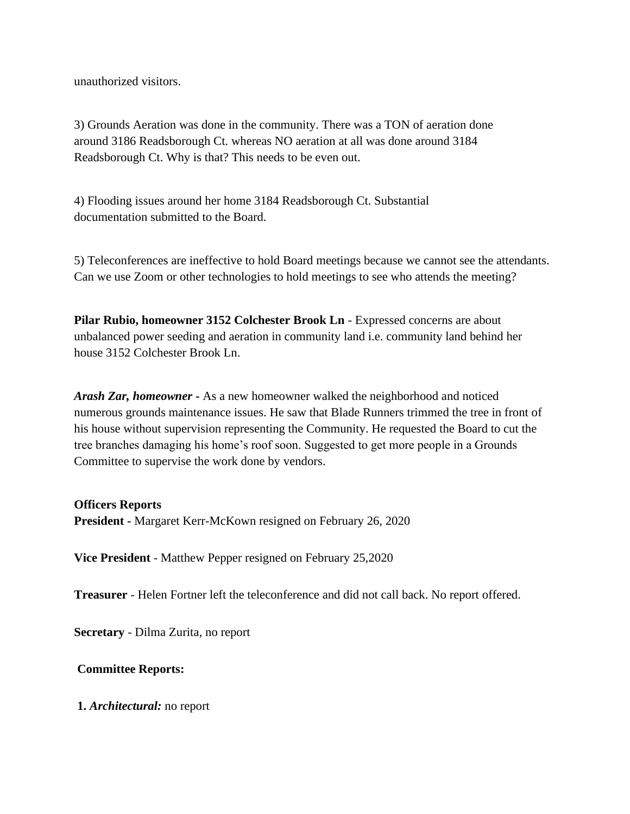unauthorized visitors.

3) Grounds Aeration was done in the community. There was a TON of aeration done around 3186 Readsborough Ct. whereas NO aeration at all was done around 3184 Readsborough Ct. Why is that? This needs to be even out.

4) Flooding issues around her home 3184 Readsborough Ct. Substantial documentation submitted to the Board.

5) Teleconferences are ineffective to hold Board meetings because we cannot see the attendants. Can we use Zoom or other technologies to hold meetings to see who attends the meeting?

**Pilar Rubio, homeowner 3152 Colchester Brook Ln** - Expressed concerns are about unbalanced power seeding and aeration in community land i.e. community land behind her house 3152 Colchester Brook Ln.

*Arash Zar, homeowner* **-** As a new homeowner walked the neighborhood and noticed numerous grounds maintenance issues. He saw that Blade Runners trimmed the tree in front of his house without supervision representing the Community. He requested the Board to cut the tree branches damaging his home's roof soon. Suggested to get more people in a Grounds Committee to supervise the work done by vendors.

### **Officers Reports**

**President -** Margaret Kerr-McKown resigned on February 26, 2020

**Vice President** - Matthew Pepper resigned on February 25,2020

**Treasurer** - Helen Fortner left the teleconference and did not call back. No report offered.

**Secretary** - Dilma Zurita, no report

### **Committee Reports:**

**1.** *Architectural:* no report